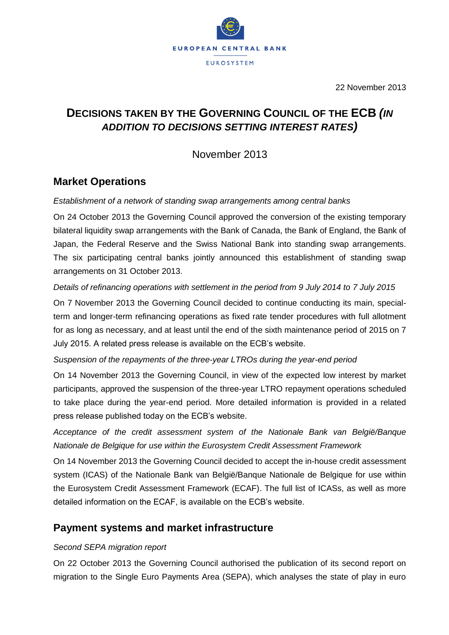

22 November 2013

# **DECISIONS TAKEN BY THE GOVERNING COUNCIL OF THE ECB** *(IN ADDITION TO DECISIONS SETTING INTEREST RATES)*

November 2013

## **Market Operations**

### *Establishment of a network of standing swap arrangements among central banks*

On 24 October 2013 the Governing Council approved the conversion of the existing temporary bilateral liquidity swap arrangements with the Bank of Canada, the Bank of England, the Bank of Japan, the Federal Reserve and the Swiss National Bank into standing swap arrangements. The six participating central banks jointly announced this establishment of standing swap arrangements on 31 October 2013.

### *Details of refinancing operations with settlement in the period from 9 July 2014 to 7 July 2015*

On 7 November 2013 the Governing Council decided to continue conducting its main, specialterm and longer-term refinancing operations as fixed rate tender procedures with full allotment for as long as necessary, and at least until the end of the sixth maintenance period of 2015 on 7 July 2015. A related press release is available on the ECB's website.

### *Suspension of the repayments of the three-year LTROs during the year-end period*

On 14 November 2013 the Governing Council, in view of the expected low interest by market participants, approved the suspension of the three-year LTRO repayment operations scheduled to take place during the year-end period. More detailed information is provided in a related press release published today on the ECB's website.

*Acceptance of the credit assessment system of the Nationale Bank van België/Banque Nationale de Belgique for use within the Eurosystem Credit Assessment Framework*

On 14 November 2013 the Governing Council decided to accept the in-house credit assessment system (ICAS) of the Nationale Bank van België/Banque Nationale de Belgique for use within the Eurosystem Credit Assessment Framework (ECAF). The full list of ICASs, as well as more detailed information on the ECAF, is available on the ECB's website.

## **Payment systems and market infrastructure**

### *Second SEPA migration report*

On 22 October 2013 the Governing Council authorised the publication of its second report on migration to the Single Euro Payments Area (SEPA), which analyses the state of play in euro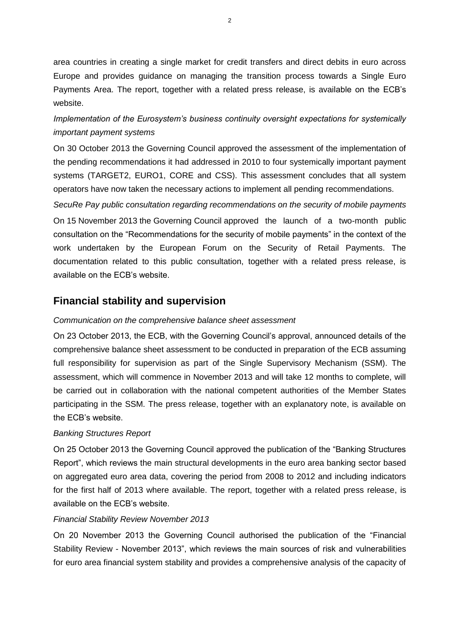area countries in creating a single market for credit transfers and direct debits in euro across Europe and provides guidance on managing the transition process towards a Single Euro Payments Area. The report, together with a related press release, is available on the ECB's website.

## *Implementation of the Eurosystem's business continuity oversight expectations for systemically important payment systems*

On 30 October 2013 the Governing Council approved the assessment of the implementation of the pending recommendations it had addressed in 2010 to four systemically important payment systems (TARGET2, EURO1, CORE and CSS). This assessment concludes that all system operators have now taken the necessary actions to implement all pending recommendations.

*SecuRe Pay public consultation regarding recommendations on the security of mobile payments* On 15 November 2013 the Governing Council approved the launch of a two-month public consultation on the "Recommendations for the security of mobile payments" in the context of the work undertaken by the European Forum on the Security of Retail Payments. The documentation related to this public consultation, together with a related press release, is available on the ECB's website.

# **Financial stability and supervision**

## *Communication on the comprehensive balance sheet assessment*

On 23 October 2013, the ECB, with the Governing Council's approval, announced details of the comprehensive balance sheet assessment to be conducted in preparation of the ECB assuming full responsibility for supervision as part of the Single Supervisory Mechanism (SSM). The assessment, which will commence in November 2013 and will take 12 months to complete, will be carried out in collaboration with the national competent authorities of the Member States participating in the SSM. The press release, together with an explanatory note, is available on the ECB's website.

### *Banking Structures Report*

On 25 October 2013 the Governing Council approved the publication of the "Banking Structures Report", which reviews the main structural developments in the euro area banking sector based on aggregated euro area data, covering the period from 2008 to 2012 and including indicators for the first half of 2013 where available. The report, together with a related press release, is available on the ECB's website.

### *Financial Stability Review November 2013*

On 20 November 2013 the Governing Council authorised the publication of the "Financial Stability Review - November 2013", which reviews the main sources of risk and vulnerabilities for euro area financial system stability and provides a comprehensive analysis of the capacity of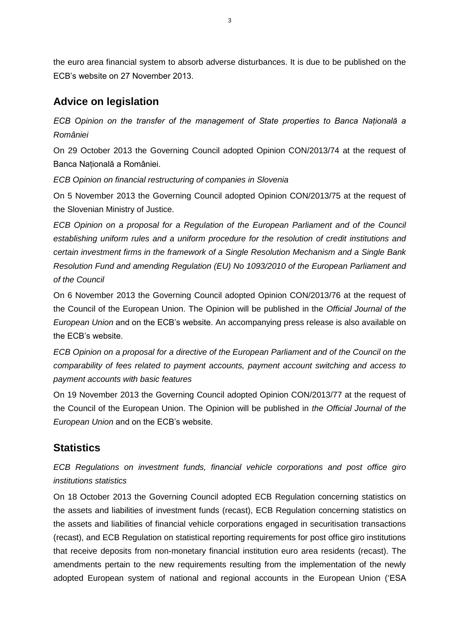the euro area financial system to absorb adverse disturbances. It is due to be published on the ECB's website on 27 November 2013.

# **Advice on legislation**

*ECB Opinion on the transfer of the management of State properties to Banca Naţională a României*

On 29 October 2013 the Governing Council adopted Opinion CON/2013/74 at the request of Banca Natională a României.

*ECB Opinion on financial restructuring of companies in Slovenia*

On 5 November 2013 the Governing Council adopted Opinion CON/2013/75 at the request of the Slovenian Ministry of Justice.

*ECB Opinion on a proposal for a Regulation of the European Parliament and of the Council establishing uniform rules and a uniform procedure for the resolution of credit institutions and certain investment firms in the framework of a Single Resolution Mechanism and a Single Bank Resolution Fund and amending Regulation (EU) No 1093/2010 of the European Parliament and of the Council*

On 6 November 2013 the Governing Council adopted Opinion CON/2013/76 at the request of the Council of the European Union. The Opinion will be published in the *Official Journal of the European Union* and on the ECB's website. An accompanying press release is also available on the ECB's website.

*ECB Opinion on a proposal for a directive of the European Parliament and of the Council on the comparability of fees related to payment accounts, payment account switching and access to payment accounts with basic features*

On 19 November 2013 the Governing Council adopted Opinion CON/2013/77 at the request of the Council of the European Union. The Opinion will be published in *the Official Journal of the European Union* and on the ECB's website.

# **Statistics**

*ECB Regulations on investment funds, financial vehicle corporations and post office giro institutions statistics*

On 18 October 2013 the Governing Council adopted ECB Regulation concerning statistics on the assets and liabilities of investment funds (recast), ECB Regulation concerning statistics on the assets and liabilities of financial vehicle corporations engaged in securitisation transactions (recast), and ECB Regulation on statistical reporting requirements for post office giro institutions that receive deposits from non-monetary financial institution euro area residents (recast). The amendments pertain to the new requirements resulting from the implementation of the newly adopted European system of national and regional accounts in the European Union ('ESA